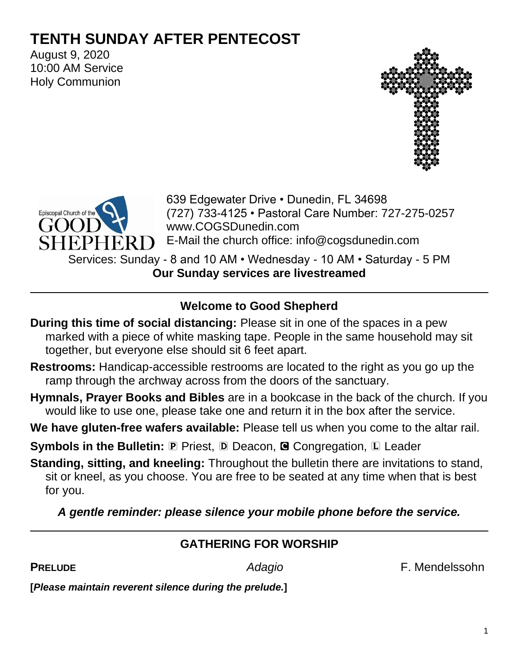# **TENTH SUNDAY AFTER PENTECOST**

August 9, 2020 10:00 AM Service Holy Communion





639 Edgewater Drive • Dunedin, FL 34698 (727) 733-4125 • Pastoral Care Number: 727-275-0257 www.COGSDunedin.com E-Mail the church office: info@cogsdunedin.com

Services: Sunday - 8 and 10 AM • Wednesday - 10 AM • Saturday - 5 PM **Our Sunday services are livestreamed**

# **Welcome to Good Shepherd**

- **During this time of social distancing:** Please sit in one of the spaces in a pew marked with a piece of white masking tape. People in the same household may sit together, but everyone else should sit 6 feet apart.
- **Restrooms:** Handicap-accessible restrooms are located to the right as you go up the ramp through the archway across from the doors of the sanctuary.
- **Hymnals, Prayer Books and Bibles** are in a bookcase in the back of the church. If you would like to use one, please take one and return it in the box after the service.
- **We have gluten-free wafers available:** Please tell us when you come to the altar rail.

**Symbols in the Bulletin: P Priest, D Deacon, @ Congregation, L Leader** 

**Standing, sitting, and kneeling:** Throughout the bulletin there are invitations to stand, sit or kneel, as you choose. You are free to be seated at any time when that is best for you.

*A gentle reminder: please silence your mobile phone before the service.*

# **GATHERING FOR WORSHIP**

**PRELUDE** *Adagio* F. Mendelssohn

**[***Please maintain reverent silence during the prelude.***]**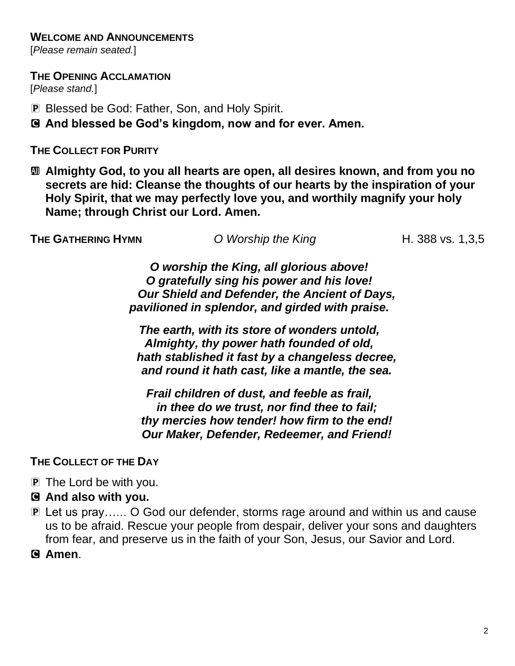#### **WELCOME AND ANNOUNCEMENTS**

[*Please remain seated.*]

**THE OPENING ACCLAMATION**

[*Please stand.*]

P Blessed be God: Father, Son, and Holy Spirit.

C **And blessed be God's kingdom, now and for ever. Amen.**

#### **THE COLLECT FOR PURITY**

a **Almighty God, to you all hearts are open, all desires known, and from you no secrets are hid: Cleanse the thoughts of our hearts by the inspiration of your Holy Spirit, that we may perfectly love you, and worthily magnify your holy Name; through Christ our Lord. Amen.**

**THE GATHERING HYMN** *O* Worship the King **H.** 388 vs. 1,3,5

*O worship the King, all glorious above! O gratefully sing his power and his love! Our Shield and Defender, the Ancient of Days, pavilioned in splendor, and girded with praise.*

*The earth, with its store of wonders untold, Almighty, thy power hath founded of old, hath stablished it fast by a changeless decree, and round it hath cast, like a mantle, the sea.*

*Frail children of dust, and feeble as frail, in thee do we trust, nor find thee to fail; thy mercies how tender! how firm to the end! Our Maker, Defender, Redeemer, and Friend!*

**THE COLLECT OF THE DAY**

- P The Lord be with you.
- C **And also with you.**
- P Let us pray…… O God our defender, storms rage around and within us and cause us to be afraid. Rescue your people from despair, deliver your sons and daughters from fear, and preserve us in the faith of your Son, Jesus, our Savior and Lord.

C **Amen**.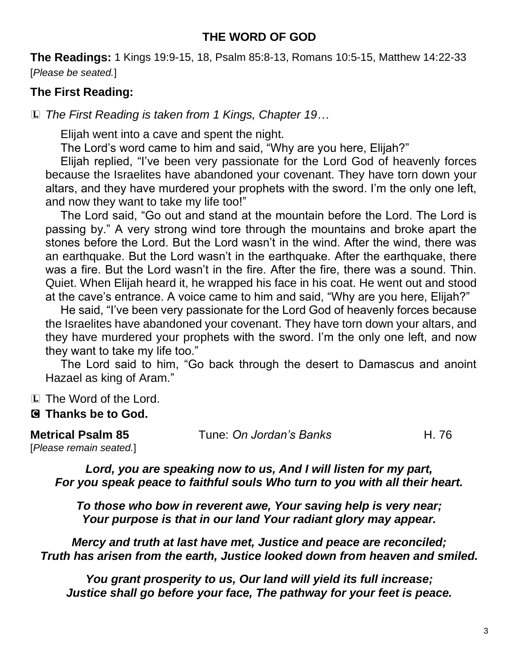#### **THE WORD OF GOD**

**The Readings:** 1 Kings 19:9-15, 18, Psalm 85:8-13, Romans 10:5-15, Matthew 14:22-33 [*Please be seated.*]

# **The First Reading:**

L *The First Reading is taken from 1 Kings, Chapter 19…*

Elijah went into a cave and spent the night.

The Lord's word came to him and said, "Why are you here, Elijah?"

Elijah replied, "I've been very passionate for the Lord God of heavenly forces because the Israelites have abandoned your covenant. They have torn down your altars, and they have murdered your prophets with the sword. I'm the only one left, and now they want to take my life too!"

The Lord said, "Go out and stand at the mountain before the Lord. The Lord is passing by." A very strong wind tore through the mountains and broke apart the stones before the Lord. But the Lord wasn't in the wind. After the wind, there was an earthquake. But the Lord wasn't in the earthquake. After the earthquake, there was a fire. But the Lord wasn't in the fire. After the fire, there was a sound. Thin. Quiet. When Elijah heard it, he wrapped his face in his coat. He went out and stood at the cave's entrance. A voice came to him and said, "Why are you here, Elijah?"

He said, "I've been very passionate for the Lord God of heavenly forces because the Israelites have abandoned your covenant. They have torn down your altars, and they have murdered your prophets with the sword. I'm the only one left, and now they want to take my life too."

The Lord said to him, "Go back through the desert to Damascus and anoint Hazael as king of Aram."

L The Word of the Lord.

### C **Thanks be to God.**

| <b>Metrical Psalm 85</b> | Tune: On Jordan's Banks | H. 76 |
|--------------------------|-------------------------|-------|
| [Please remain seated.]  |                         |       |

*Lord, you are speaking now to us, And I will listen for my part, For you speak peace to faithful souls Who turn to you with all their heart.*

*To those who bow in reverent awe, Your saving help is very near; Your purpose is that in our land Your radiant glory may appear.*

*Mercy and truth at last have met, Justice and peace are reconciled; Truth has arisen from the earth, Justice looked down from heaven and smiled.*

*You grant prosperity to us, Our land will yield its full increase; Justice shall go before your face, The pathway for your feet is peace.*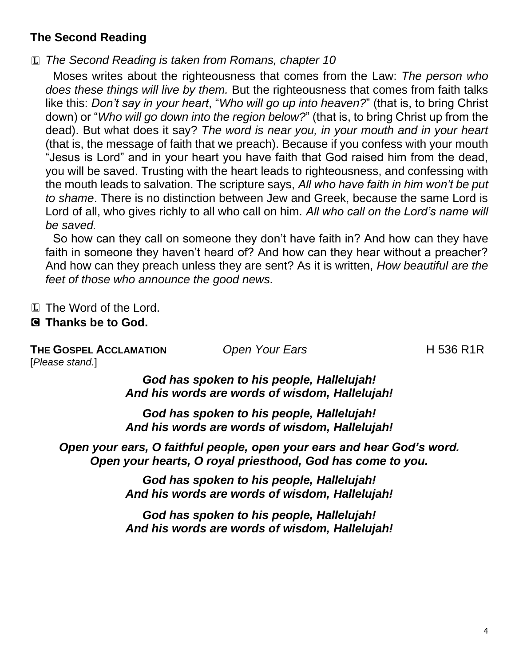# **The Second Reading**

L *The Second Reading is taken from Romans, chapter 10*

Moses writes about the righteousness that comes from the Law: *The person who does these things will live by them.* But the righteousness that comes from faith talks like this: *Don't say in your heart*, "*Who will go up into heaven?*" (that is, to bring Christ down) or "*Who will go down into the region below?*" (that is, to bring Christ up from the dead). But what does it say? *The word is near you, in your mouth and in your heart* (that is, the message of faith that we preach). Because if you confess with your mouth "Jesus is Lord" and in your heart you have faith that God raised him from the dead, you will be saved. Trusting with the heart leads to righteousness, and confessing with the mouth leads to salvation. The scripture says, *All who have faith in him won't be put to shame*. There is no distinction between Jew and Greek, because the same Lord is Lord of all, who gives richly to all who call on him. *All who call on the Lord's name will be saved.*

So how can they call on someone they don't have faith in? And how can they have faith in someone they haven't heard of? And how can they hear without a preacher? And how can they preach unless they are sent? As it is written, *How beautiful are the feet of those who announce the good news.*

L The Word of the Lord.

#### C **Thanks be to God.**

**THE GOSPEL ACCLAMATION** *Open Your Ears* **H** 536 R1R [*Please stand.*]

*God has spoken to his people, Hallelujah! And his words are words of wisdom, Hallelujah!*

*God has spoken to his people, Hallelujah! And his words are words of wisdom, Hallelujah!*

*Open your ears, O faithful people, open your ears and hear God's word. Open your hearts, O royal priesthood, God has come to you.*

> *God has spoken to his people, Hallelujah! And his words are words of wisdom, Hallelujah!*

> *God has spoken to his people, Hallelujah! And his words are words of wisdom, Hallelujah!*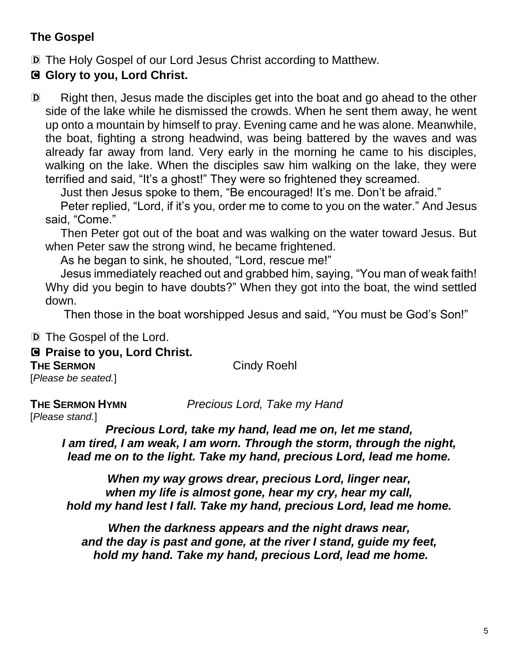# **The Gospel**

D The Holy Gospel of our Lord Jesus Christ according to Matthew.

C **Glory to you, Lord Christ.** 

D Right then, Jesus made the disciples get into the boat and go ahead to the other side of the lake while he dismissed the crowds. When he sent them away, he went up onto a mountain by himself to pray. Evening came and he was alone. Meanwhile, the boat, fighting a strong headwind, was being battered by the waves and was already far away from land. Very early in the morning he came to his disciples, walking on the lake. When the disciples saw him walking on the lake, they were terrified and said, "It's a ghost!" They were so frightened they screamed.

Just then Jesus spoke to them, "Be encouraged! It's me. Don't be afraid."

Peter replied, "Lord, if it's you, order me to come to you on the water." And Jesus said, "Come."

Then Peter got out of the boat and was walking on the water toward Jesus. But when Peter saw the strong wind, he became frightened.

As he began to sink, he shouted, "Lord, rescue me!"

Jesus immediately reached out and grabbed him, saying, "You man of weak faith! Why did you begin to have doubts?" When they got into the boat, the wind settled down.

Then those in the boat worshipped Jesus and said, "You must be God's Son!"

D The Gospel of the Lord.

C **Praise to you, Lord Christ.**

**THE SERMON** Cindy Roehl

[*Please be seated.*]

**THE SERMON HYMN** *Precious Lord, Take my Hand*

[*Please stand.*]

*Precious Lord, take my hand, lead me on, let me stand, I am tired, I am weak, I am worn. Through the storm, through the night, lead me on to the light. Take my hand, precious Lord, lead me home.*

*When my way grows drear, precious Lord, linger near, when my life is almost gone, hear my cry, hear my call, hold my hand lest I fall. Take my hand, precious Lord, lead me home.*

*When the darkness appears and the night draws near, and the day is past and gone, at the river I stand, guide my feet, hold my hand. Take my hand, precious Lord, lead me home.*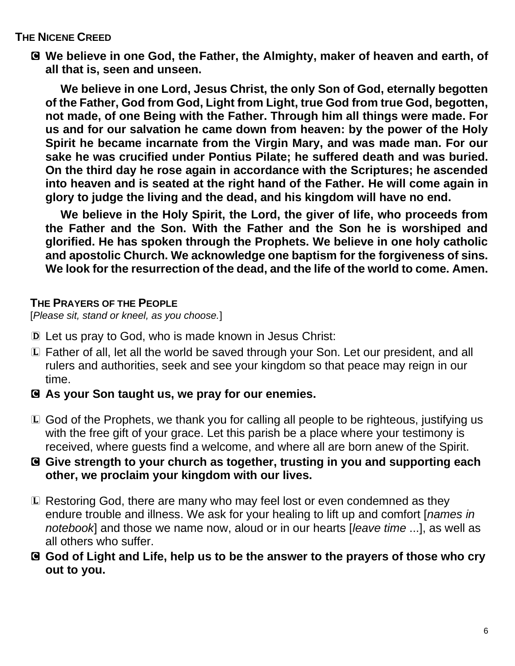#### **THE NICENE CREED**

C **We believe in one God, the Father, the Almighty, maker of heaven and earth, of all that is, seen and unseen.** 

**We believe in one Lord, Jesus Christ, the only Son of God, eternally begotten of the Father, God from God, Light from Light, true God from true God, begotten, not made, of one Being with the Father. Through him all things were made. For us and for our salvation he came down from heaven: by the power of the Holy Spirit he became incarnate from the Virgin Mary, and was made man. For our sake he was crucified under Pontius Pilate; he suffered death and was buried. On the third day he rose again in accordance with the Scriptures; he ascended into heaven and is seated at the right hand of the Father. He will come again in glory to judge the living and the dead, and his kingdom will have no end.**

**We believe in the Holy Spirit, the Lord, the giver of life, who proceeds from the Father and the Son. With the Father and the Son he is worshiped and glorified. He has spoken through the Prophets. We believe in one holy catholic and apostolic Church. We acknowledge one baptism for the forgiveness of sins. We look for the resurrection of the dead, and the life of the world to come. Amen.**

#### **THE PRAYERS OF THE PEOPLE**

[*Please sit, stand or kneel, as you choose.*]

- D Let us pray to God, who is made known in Jesus Christ:
- L Father of all, let all the world be saved through your Son. Let our president, and all rulers and authorities, seek and see your kingdom so that peace may reign in our time.
- C **As your Son taught us, we pray for our enemies.**
- L God of the Prophets, we thank you for calling all people to be righteous, justifying us with the free gift of your grace. Let this parish be a place where your testimony is received, where guests find a welcome, and where all are born anew of the Spirit.
- C **Give strength to your church as together, trusting in you and supporting each other, we proclaim your kingdom with our lives.**
- L Restoring God, there are many who may feel lost or even condemned as they endure trouble and illness. We ask for your healing to lift up and comfort [*names in notebook*] and those we name now, aloud or in our hearts [*leave time* ...], as well as all others who suffer.
- C **God of Light and Life, help us to be the answer to the prayers of those who cry out to you.**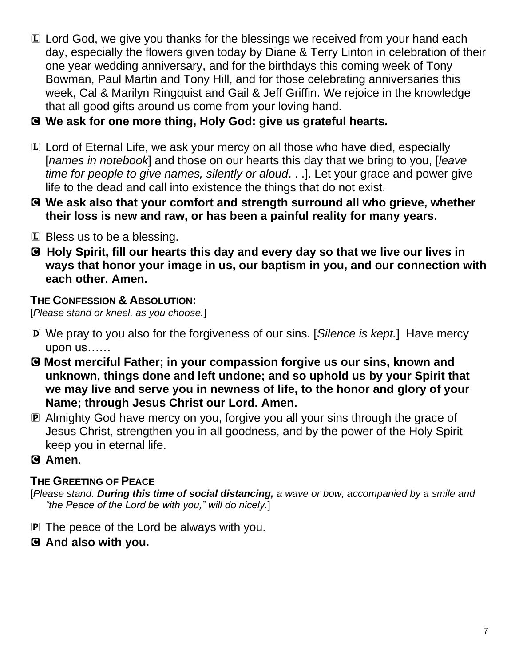- L Lord God, we give you thanks for the blessings we received from your hand each day, especially the flowers given today by Diane & Terry Linton in celebration of their one year wedding anniversary, and for the birthdays this coming week of Tony Bowman, Paul Martin and Tony Hill, and for those celebrating anniversaries this week, Cal & Marilyn Ringquist and Gail & Jeff Griffin. We rejoice in the knowledge that all good gifts around us come from your loving hand.
- C **We ask for one more thing, Holy God: give us grateful hearts.**
- L Lord of Eternal Life, we ask your mercy on all those who have died, especially [*names in notebook*] and those on our hearts this day that we bring to you, [*leave time for people to give names, silently or aloud*. . .]. Let your grace and power give life to the dead and call into existence the things that do not exist.
- C **We ask also that your comfort and strength surround all who grieve, whether their loss is new and raw, or has been a painful reality for many years.**
- L Bless us to be a blessing.
- C **Holy Spirit, fill our hearts this day and every day so that we live our lives in ways that honor your image in us, our baptism in you, and our connection with each other. Amen.**

# **THE CONFESSION & ABSOLUTION:**

[*Please stand or kneel, as you choose.*]

- D We pray to you also for the forgiveness of our sins. [*Silence is kept.*] Have mercy upon us……
- C **Most merciful Father; in your compassion forgive us our sins, known and unknown, things done and left undone; and so uphold us by your Spirit that we may live and serve you in newness of life, to the honor and glory of your Name; through Jesus Christ our Lord. Amen.**
- P Almighty God have mercy on you, forgive you all your sins through the grace of Jesus Christ, strengthen you in all goodness, and by the power of the Holy Spirit keep you in eternal life.

### C **Amen**.

### **THE GREETING OF PEACE**

[*Please stand. During this time of social distancing, a wave or bow, accompanied by a smile and "the Peace of the Lord be with you," will do nicely.*]

- P The peace of the Lord be always with you.
- C **And also with you.**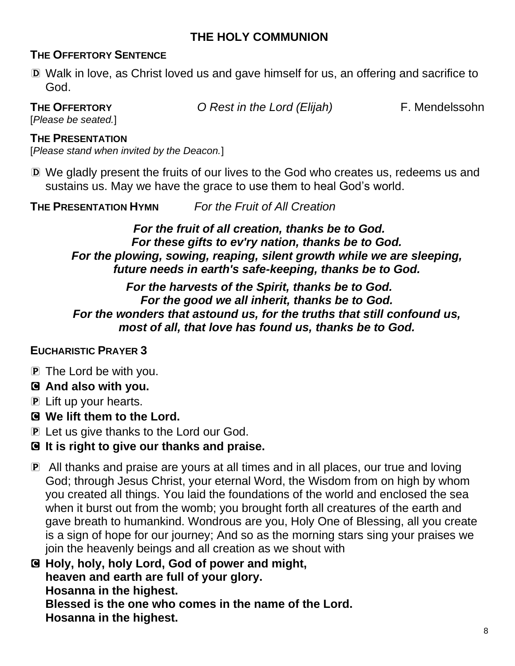#### **THE HOLY COMMUNION**

#### **THE OFFERTORY SENTENCE**

D Walk in love, as Christ loved us and gave himself for us, an offering and sacrifice to God.

**THE OFFERTORY** *O Rest in the Lord (Elijah)* F. Mendelssohn

[*Please be seated.*]

#### **THE PRESENTATION**

[*Please stand when invited by the Deacon.*]

D We gladly present the fruits of our lives to the God who creates us, redeems us and sustains us. May we have the grace to use them to heal God's world.

**THE PRESENTATION HYMN** *For the Fruit of All Creation*

*For the fruit of all creation, thanks be to God. For these gifts to ev'ry nation, thanks be to God. For the plowing, sowing, reaping, silent growth while we are sleeping, future needs in earth's safe-keeping, thanks be to God.*

*For the harvests of the Spirit, thanks be to God. For the good we all inherit, thanks be to God. For the wonders that astound us, for the truths that still confound us, most of all, that love has found us, thanks be to God.*

#### **EUCHARISTIC PRAYER 3**

**P** The Lord be with you.

#### C **And also with you.**

- P Lift up your hearts.
- C **We lift them to the Lord.**
- P Let us give thanks to the Lord our God.

### C **It is right to give our thanks and praise.**

- P All thanks and praise are yours at all times and in all places, our true and loving God; through Jesus Christ, your eternal Word, the Wisdom from on high by whom you created all things. You laid the foundations of the world and enclosed the sea when it burst out from the womb; you brought forth all creatures of the earth and gave breath to humankind. Wondrous are you, Holy One of Blessing, all you create is a sign of hope for our journey; And so as the morning stars sing your praises we join the heavenly beings and all creation as we shout with
- C **Holy, holy, holy Lord, God of power and might, heaven and earth are full of your glory. Hosanna in the highest. Blessed is the one who comes in the name of the Lord.**

**Hosanna in the highest.**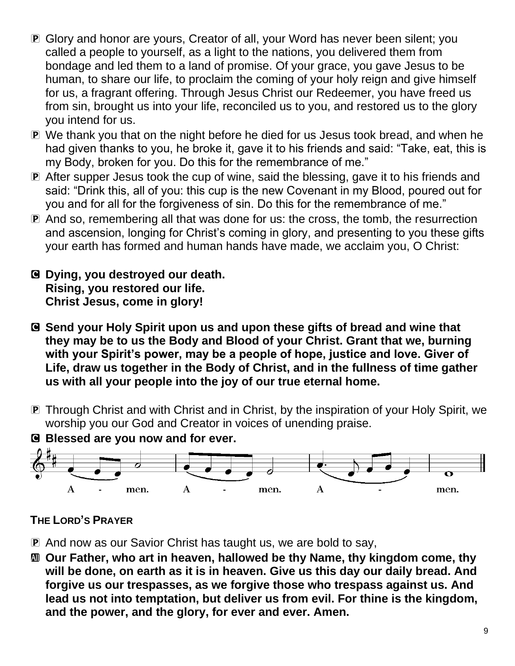- P Glory and honor are yours, Creator of all, your Word has never been silent; you called a people to yourself, as a light to the nations, you delivered them from bondage and led them to a land of promise. Of your grace, you gave Jesus to be human, to share our life, to proclaim the coming of your holy reign and give himself for us, a fragrant offering. Through Jesus Christ our Redeemer, you have freed us from sin, brought us into your life, reconciled us to you, and restored us to the glory you intend for us.
- P We thank you that on the night before he died for us Jesus took bread, and when he had given thanks to you, he broke it, gave it to his friends and said: "Take, eat, this is my Body, broken for you. Do this for the remembrance of me."
- P After supper Jesus took the cup of wine, said the blessing, gave it to his friends and said: "Drink this, all of you: this cup is the new Covenant in my Blood, poured out for you and for all for the forgiveness of sin. Do this for the remembrance of me."
- P And so, remembering all that was done for us: the cross, the tomb, the resurrection and ascension, longing for Christ's coming in glory, and presenting to you these gifts your earth has formed and human hands have made, we acclaim you, O Christ:
- C **Dying, you destroyed our death. Rising, you restored our life. Christ Jesus, come in glory!**
- C **Send your Holy Spirit upon us and upon these gifts of bread and wine that they may be to us the Body and Blood of your Christ. Grant that we, burning with your Spirit's power, may be a people of hope, justice and love. Giver of Life, draw us together in the Body of Christ, and in the fullness of time gather us with all your people into the joy of our true eternal home.**
- P Through Christ and with Christ and in Christ, by the inspiration of your Holy Spirit, we worship you our God and Creator in voices of unending praise.



#### **THE LORD'S PRAYER**

- P And now as our Savior Christ has taught us, we are bold to say,
- a **Our Father, who art in heaven, hallowed be thy Name, thy kingdom come, thy will be done, on earth as it is in heaven. Give us this day our daily bread. And forgive us our trespasses, as we forgive those who trespass against us. And lead us not into temptation, but deliver us from evil. For thine is the kingdom, and the power, and the glory, for ever and ever. Amen.**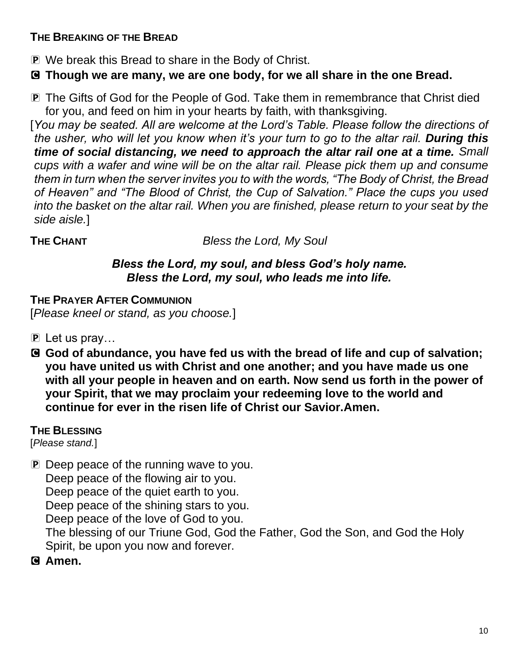#### **THE BREAKING OF THE BREAD**

- P We break this Bread to share in the Body of Christ.
- C **Though we are many, we are one body, for we all share in the one Bread.**
- P The Gifts of God for the People of God. Take them in remembrance that Christ died for you, and feed on him in your hearts by faith, with thanksgiving.

[*You may be seated. All are welcome at the Lord's Table. Please follow the directions of the usher, who will let you know when it's your turn to go to the altar rail. During this time of social distancing, we need to approach the altar rail one at a time. Small cups with a wafer and wine will be on the altar rail. Please pick them up and consume them in turn when the server invites you to with the words, "The Body of Christ, the Bread of Heaven" and "The Blood of Christ, the Cup of Salvation." Place the cups you used into the basket on the altar rail. When you are finished, please return to your seat by the side aisle.*]

**THE CHANT** *Bless the Lord, My Soul* 

#### *Bless the Lord, my soul, and bless God's holy name. Bless the Lord, my soul, who leads me into life.*

**THE PRAYER AFTER COMMUNION** [*Please kneel or stand, as you choose.*]

- P Let us pray…
- C **God of abundance, you have fed us with the bread of life and cup of salvation; you have united us with Christ and one another; and you have made us one with all your people in heaven and on earth. Now send us forth in the power of your Spirit, that we may proclaim your redeeming love to the world and continue for ever in the risen life of Christ our Savior.Amen.**

#### **THE BLESSING**

[*Please stand.*]

P Deep peace of the running wave to you.

Deep peace of the flowing air to you.

Deep peace of the quiet earth to you.

Deep peace of the shining stars to you.

Deep peace of the love of God to you.

The blessing of our Triune God, God the Father, God the Son, and God the Holy Spirit, be upon you now and forever.

### C **Amen.**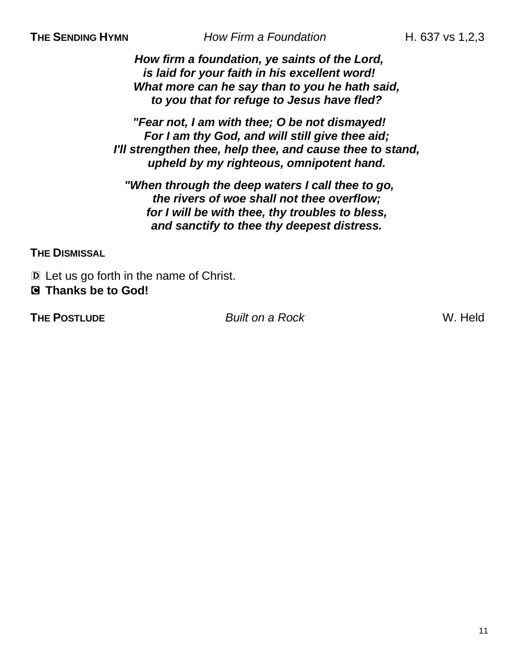**THE SENDING HYMN** *How Firm a Foundation* **H. 637 vs 1,2,3** 

*How firm a foundation, ye saints of the Lord, is laid for your faith in his excellent word! What more can he say than to you he hath said, to you that for refuge to Jesus have fled?*

*"Fear not, I am with thee; O be not dismayed! For I am thy God, and will still give thee aid; I'll strengthen thee, help thee, and cause thee to stand, upheld by my righteous, omnipotent hand.*

*"When through the deep waters I call thee to go, the rivers of woe shall not thee overflow; for I will be with thee, thy troubles to bless, and sanctify to thee thy deepest distress.*

**THE DISMISSAL** 

D Let us go forth in the name of Christ. C **Thanks be to God!** 

**THE POSTLUDE** *Built on a Rock* W. Held